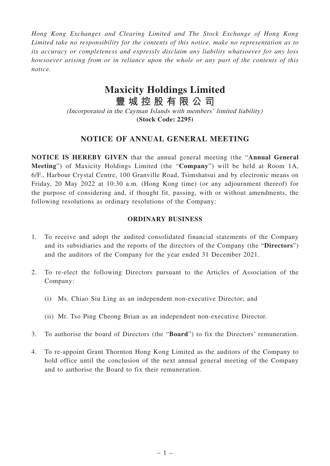*Hong Kong Exchanges and Clearing Limited and The Stock Exchange of Hong Kong Limited take no responsibility for the contents of this notice, make no representation as to its accuracy or completeness and expressly disclaim any liability whatsoever for any loss howsoever arising from or in reliance upon the whole or any part of the contents of this notice.*

# **Maxicity Holdings Limited**

**豐城控股有限公司**

(Incorporated in the Cayman Islands with members' limited liability) **(Stock Code: 2295)**

# **NOTICE OF ANNUAL GENERAL MEETING**

**NOTICE IS HEREBY GIVEN** that the annual general meeting (the "**Annual General Meeting**") of Maxicity Holdings Limited (the "**Company**") will be held at Room 1A, 6/F., Harbour Crystal Centre, 100 Granville Road, Tsimshatsui and by electronic means on Friday, 20 May 2022 at 10:30 a.m. (Hong Kong time) (or any adjournment thereof) for the purpose of considering and, if thought fit, passing, with or without amendments, the following resolutions as ordinary resolutions of the Company:

#### **ORDINARY BUSINESS**

- 1. To receive and adopt the audited consolidated financial statements of the Company and its subsidiaries and the reports of the directors of the Company (the "**Directors**") and the auditors of the Company for the year ended 31 December 2021.
- 2. To re-elect the following Directors pursuant to the Articles of Association of the Company:
	- (i) Ms. Chiao Siu Ling as an independent non-executive Director; and
	- (ii) Mr. Tso Ping Cheong Brian as an independent non-executive Director.
- 3. To authorise the board of Directors (the "**Board**") to fix the Directors' remuneration.
- 4. To re-appoint Grant Thornton Hong Kong Limited as the auditors of the Company to hold office until the conclusion of the next annual general meeting of the Company and to authorise the Board to fix their remuneration.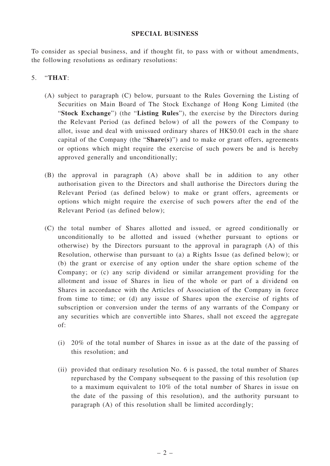#### **SPECIAL BUSINESS**

To consider as special business, and if thought fit, to pass with or without amendments, the following resolutions as ordinary resolutions:

### 5. "**THAT**:

- (A) subject to paragraph (C) below, pursuant to the Rules Governing the Listing of Securities on Main Board of The Stock Exchange of Hong Kong Limited (the "**Stock Exchange**") (the "**Listing Rules**"), the exercise by the Directors during the Relevant Period (as defined below) of all the powers of the Company to allot, issue and deal with unissued ordinary shares of HK\$0.01 each in the share capital of the Company (the "**Share(s)**") and to make or grant offers, agreements or options which might require the exercise of such powers be and is hereby approved generally and unconditionally;
- (B) the approval in paragraph (A) above shall be in addition to any other authorisation given to the Directors and shall authorise the Directors during the Relevant Period (as defined below) to make or grant offers, agreements or options which might require the exercise of such powers after the end of the Relevant Period (as defined below);
- (C) the total number of Shares allotted and issued, or agreed conditionally or unconditionally to be allotted and issued (whether pursuant to options or otherwise) by the Directors pursuant to the approval in paragraph (A) of this Resolution, otherwise than pursuant to (a) a Rights Issue (as defined below); or (b) the grant or exercise of any option under the share option scheme of the Company; or (c) any scrip dividend or similar arrangement providing for the allotment and issue of Shares in lieu of the whole or part of a dividend on Shares in accordance with the Articles of Association of the Company in force from time to time; or (d) any issue of Shares upon the exercise of rights of subscription or conversion under the terms of any warrants of the Company or any securities which are convertible into Shares, shall not exceed the aggregate of:
	- (i) 20% of the total number of Shares in issue as at the date of the passing of this resolution; and
	- (ii) provided that ordinary resolution No. 6 is passed, the total number of Shares repurchased by the Company subsequent to the passing of this resolution (up to a maximum equivalent to 10% of the total number of Shares in issue on the date of the passing of this resolution), and the authority pursuant to paragraph (A) of this resolution shall be limited accordingly;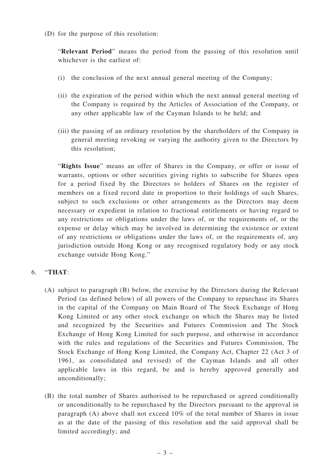(D) for the purpose of this resolution:

"**Relevant Period**" means the period from the passing of this resolution until whichever is the earliest of:

- (i) the conclusion of the next annual general meeting of the Company;
- (ii) the expiration of the period within which the next annual general meeting of the Company is required by the Articles of Association of the Company, or any other applicable law of the Cayman Islands to be held; and
- (iii) the passing of an ordinary resolution by the shareholders of the Company in general meeting revoking or varying the authority given to the Directors by this resolution;

"**Rights Issue**" means an offer of Shares in the Company, or offer or issue of warrants, options or other securities giving rights to subscribe for Shares open for a period fixed by the Directors to holders of Shares on the register of members on a fixed record date in proportion to their holdings of such Shares, subject to such exclusions or other arrangements as the Directors may deem necessary or expedient in relation to fractional entitlements or having regard to any restrictions or obligations under the laws of, or the requirements of, or the expense or delay which may be involved in determining the existence or extent of any restrictions or obligations under the laws of, or the requirements of, any jurisdiction outside Hong Kong or any recognised regulatory body or any stock exchange outside Hong Kong."

#### 6. "**THAT**:

- (A) subject to paragraph (B) below, the exercise by the Directors during the Relevant Period (as defined below) of all powers of the Company to repurchase its Shares in the capital of the Company on Main Board of The Stock Exchange of Hong Kong Limited or any other stock exchange on which the Shares may be listed and recognized by the Securities and Futures Commission and The Stock Exchange of Hong Kong Limited for such purpose, and otherwise in accordance with the rules and regulations of the Securities and Futures Commission, The Stock Exchange of Hong Kong Limited, the Company Act, Chapter 22 (Act 3 of 1961, as consolidated and revised) of the Cayman Islands and all other applicable laws in this regard, be and is hereby approved generally and unconditionally;
- (B) the total number of Shares authorised to be repurchased or agreed conditionally or unconditionally to be repurchased by the Directors pursuant to the approval in paragraph (A) above shall not exceed 10% of the total number of Shares in issue as at the date of the passing of this resolution and the said approval shall be limited accordingly; and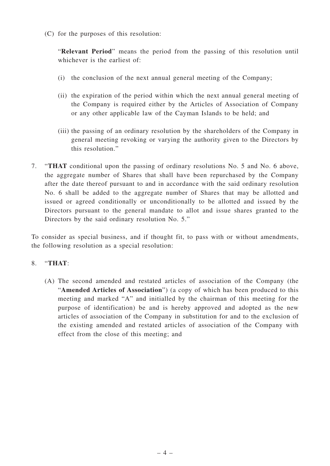(C) for the purposes of this resolution:

"**Relevant Period**" means the period from the passing of this resolution until whichever is the earliest of:

- (i) the conclusion of the next annual general meeting of the Company;
- (ii) the expiration of the period within which the next annual general meeting of the Company is required either by the Articles of Association of Company or any other applicable law of the Cayman Islands to be held; and
- (iii) the passing of an ordinary resolution by the shareholders of the Company in general meeting revoking or varying the authority given to the Directors by this resolution."
- 7. "**THAT** conditional upon the passing of ordinary resolutions No. 5 and No. 6 above, the aggregate number of Shares that shall have been repurchased by the Company after the date thereof pursuant to and in accordance with the said ordinary resolution No. 6 shall be added to the aggregate number of Shares that may be allotted and issued or agreed conditionally or unconditionally to be allotted and issued by the Directors pursuant to the general mandate to allot and issue shares granted to the Directors by the said ordinary resolution No. 5."

To consider as special business, and if thought fit, to pass with or without amendments, the following resolution as a special resolution:

## 8. "**THAT**:

(A) The second amended and restated articles of association of the Company (the "**Amended Articles of Association**") (a copy of which has been produced to this meeting and marked "A" and initialled by the chairman of this meeting for the purpose of identification) be and is hereby approved and adopted as the new articles of association of the Company in substitution for and to the exclusion of the existing amended and restated articles of association of the Company with effect from the close of this meeting; and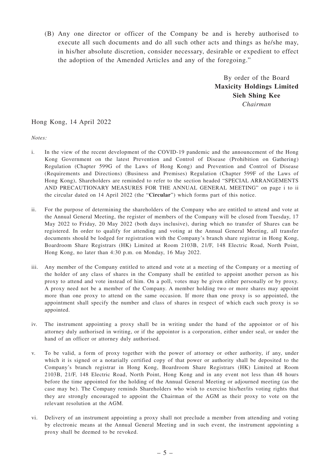(B) Any one director or officer of the Company be and is hereby authorised to execute all such documents and do all such other acts and things as he/she may, in his/her absolute discretion, consider necessary, desirable or expedient to effect the adoption of the Amended Articles and any of the foregoing."

> By order of the Board **Maxicity Holdings Limited Sieh Shing Kee** *Chairman*

#### Hong Kong, 14 April 2022

*Notes:*

- i. In the view of the recent development of the COVID-19 pandemic and the announcement of the Hong Kong Government on the latest Prevention and Control of Disease (Prohibition on Gathering) Regulation (Chapter 599G of the Laws of Hong Kong) and Prevention and Control of Disease (Requirements and Directions) (Business and Premises) Regulation (Chapter 599F of the Laws of Hong Kong), Shareholders are reminded to refer to the section headed "SPECIAL ARRANGEMENTS AND PRECAUTIONARY MEASURES FOR THE ANNUAL GENERAL MEETING" on page i to ii the circular dated on 14 April 2022 (the "**Circular**") which forms part of this notice.
- ii. For the purpose of determining the shareholders of the Company who are entitled to attend and vote at the Annual General Meeting, the register of members of the Company will be closed from Tuesday, 17 May 2022 to Friday, 20 May 2022 (both days inclusive), during which no transfer of Shares can be registered. In order to qualify for attending and voting at the Annual General Meeting, all transfer documents should be lodged for registration with the Company's branch share registrar in Hong Kong, Boardroom Share Registrars (HK) Limited at Room 2103B, 21/F, 148 Electric Road, North Point, Hong Kong, no later than 4:30 p.m. on Monday, 16 May 2022.
- iii. Any member of the Company entitled to attend and vote at a meeting of the Company or a meeting of the holder of any class of shares in the Company shall be entitled to appoint another person as his proxy to attend and vote instead of him. On a poll, votes may be given either personally or by proxy. A proxy need not be a member of the Company. A member holding two or more shares may appoint more than one proxy to attend on the same occasion. If more than one proxy is so appointed, the appointment shall specify the number and class of shares in respect of which each such proxy is so appointed.
- iv. The instrument appointing a proxy shall be in writing under the hand of the appointor or of his attorney duly authorised in writing, or if the appointor is a corporation, either under seal, or under the hand of an officer or attorney duly authorised.
- v. To be valid, a form of proxy together with the power of attorney or other authority, if any, under which it is signed or a notarially certified copy of that power or authority shall be deposited to the Company's branch registrar in Hong Kong, Boardroom Share Registrars (HK) Limited at Room 2103B, 21/F, 148 Electric Road, North Point, Hong Kong and in any event not less than 48 hours before the time appointed for the holding of the Annual General Meeting or adjourned meeting (as the case may be). The Company reminds Shareholders who wish to exercise his/her/its voting rights that they are strongly encouraged to appoint the Chairman of the AGM as their proxy to vote on the relevant resolution at the AGM.
- vi. Delivery of an instrument appointing a proxy shall not preclude a member from attending and voting by electronic means at the Annual General Meeting and in such event, the instrument appointing a proxy shall be deemed to be revoked.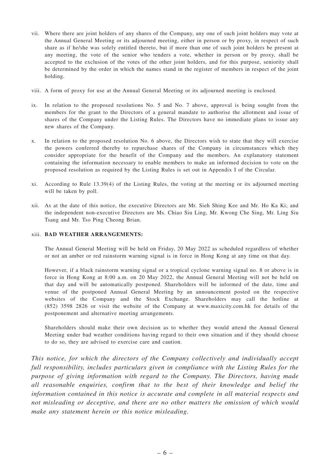- vii. Where there are joint holders of any shares of the Company, any one of such joint holders may vote at the Annual General Meeting or its adjourned meeting, either in person or by proxy, in respect of such share as if he/she was solely entitled thereto, but if more than one of such joint holders be present at any meeting, the vote of the senior who tenders a vote, whether in person or by proxy, shall be accepted to the exclusion of the votes of the other joint holders, and for this purpose, seniority shall be determined by the order in which the names stand in the register of members in respect of the joint holding.
- viii. A form of proxy for use at the Annual General Meeting or its adjourned meeting is enclosed.
- ix. In relation to the proposed resolutions No. 5 and No. 7 above, approval is being sought from the members for the grant to the Directors of a general mandate to authorise the allotment and issue of shares of the Company under the Listing Rules. The Directors have no immediate plans to issue any new shares of the Company.
- x. In relation to the proposed resolution No. 6 above, the Directors wish to state that they will exercise the powers conferred thereby to repurchase shares of the Company in circumstances which they consider appropriate for the benefit of the Company and the members. An explanatory statement containing the information necessary to enable members to make an informed decision to vote on the proposed resolution as required by the Listing Rules is set out in Appendix I of the Circular.
- xi. According to Rule 13.39(4) of the Listing Rules, the voting at the meeting or its adjourned meeting will be taken by poll.
- xii. As at the date of this notice, the executive Directors are Mr. Sieh Shing Kee and Mr. Ho Ka Ki; and the independent non-executive Directors are Ms. Chiao Siu Ling, Mr. Kwong Che Sing, Mr. Ling Siu Tsang and Mr. Tso Ping Cheong Brian.

#### xiii. **BAD WEATHER ARRANGEMENTS:**

The Annual General Meeting will be held on Friday, 20 May 2022 as scheduled regardless of whether or not an amber or red rainstorm warning signal is in force in Hong Kong at any time on that day.

However, if a black rainstorm warning signal or a tropical cyclone warning signal no. 8 or above is in force in Hong Kong at 8:00 a.m. on 20 May 2022, the Annual General Meeting will not be held on that day and will be automatically postponed. Shareholders will be informed of the date, time and venue of the postponed Annual General Meeting by an announcement posted on the respective websites of the Company and the Stock Exchange. Shareholders may call the hotline at (852) 3598 2826 or visit the website of the Company at www.maxicity.com.hk for details of the postponement and alternative meeting arrangements.

Shareholders should make their own decision as to whether they would attend the Annual General Meeting under bad weather conditions having regard to their own situation and if they should choose to do so, they are advised to exercise care and caution.

*This notice, for which the directors of the Company collectively and individually accept full responsibility, includes particulars given in compliance with the Listing Rules for the purpose of giving information with regard to the Company. The Directors, having made all reasonable enquiries, confirm that to the best of their knowledge and belief the information contained in this notice is accurate and complete in all material respects and not misleading or deceptive, and there are no other matters the omission of which would make any statement herein or this notice misleading.*